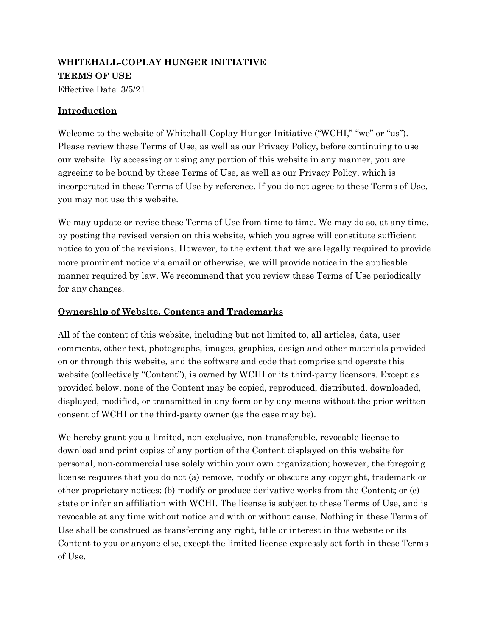# **WHITEHALL-COPLAY HUNGER INITIATIVE TERMS OF USE** Effective Date: 3/5/21

#### **Introduction**

Welcome to the website of Whitehall-Coplay Hunger Initiative ("WCHI," "we" or "us"). Please review these Terms of Use, as well as our Privacy Policy, before continuing to use our website. By accessing or using any portion of this website in any manner, you are agreeing to be bound by these Terms of Use, as well as our Privacy Policy, which is incorporated in these Terms of Use by reference. If you do not agree to these Terms of Use, you may not use this website.

We may update or revise these Terms of Use from time to time. We may do so, at any time, by posting the revised version on this website, which you agree will constitute sufficient notice to you of the revisions. However, to the extent that we are legally required to provide more prominent notice via email or otherwise, we will provide notice in the applicable manner required by law. We recommend that you review these Terms of Use periodically for any changes.

#### **Ownership of Website, Contents and Trademarks**

All of the content of this website, including but not limited to, all articles, data, user comments, other text, photographs, images, graphics, design and other materials provided on or through this website, and the software and code that comprise and operate this website (collectively "Content"), is owned by WCHI or its third-party licensors. Except as provided below, none of the Content may be copied, reproduced, distributed, downloaded, displayed, modified, or transmitted in any form or by any means without the prior written consent of WCHI or the third-party owner (as the case may be).

We hereby grant you a limited, non-exclusive, non-transferable, revocable license to download and print copies of any portion of the Content displayed on this website for personal, non-commercial use solely within your own organization; however, the foregoing license requires that you do not (a) remove, modify or obscure any copyright, trademark or other proprietary notices; (b) modify or produce derivative works from the Content; or (c) state or infer an affiliation with WCHI. The license is subject to these Terms of Use, and is revocable at any time without notice and with or without cause. Nothing in these Terms of Use shall be construed as transferring any right, title or interest in this website or its Content to you or anyone else, except the limited license expressly set forth in these Terms of Use.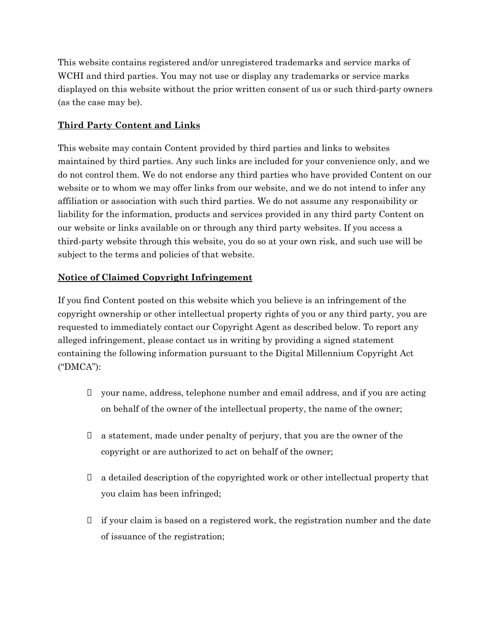This website contains registered and/or unregistered trademarks and service marks of WCHI and third parties. You may not use or display any trademarks or service marks displayed on this website without the prior written consent of us or such third-party owners (as the case may be).

## **Third Party Content and Links**

This website may contain Content provided by third parties and links to websites maintained by third parties. Any such links are included for your convenience only, and we do not control them. We do not endorse any third parties who have provided Content on our website or to whom we may offer links from our website, and we do not intend to infer any affiliation or association with such third parties. We do not assume any responsibility or liability for the information, products and services provided in any third party Content on our website or links available on or through any third party websites. If you access a third-party website through this website, you do so at your own risk, and such use will be subject to the terms and policies of that website.

#### **Notice of Claimed Copyright Infringement**

If you find Content posted on this website which you believe is an infringement of the copyright ownership or other intellectual property rights of you or any third party, you are requested to immediately contact our Copyright Agent as described below. To report any alleged infringement, please contact us in writing by providing a signed statement containing the following information pursuant to the Digital Millennium Copyright Act ("DMCA"):

- your name, address, telephone number and email address, and if you are acting on behalf of the owner of the intellectual property, the name of the owner;
- $\Box$  a statement, made under penalty of perjury, that you are the owner of the copyright or are authorized to act on behalf of the owner;
- $\Box$  a detailed description of the copyrighted work or other intellectual property that you claim has been infringed;
- $\Box$  if your claim is based on a registered work, the registration number and the date of issuance of the registration;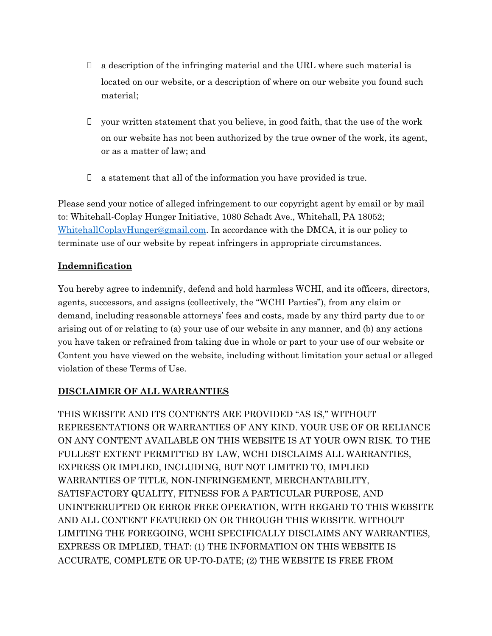- $\Box$  a description of the infringing material and the URL where such material is located on our website, or a description of where on our website you found such material;
- $\Box$  your written statement that you believe, in good faith, that the use of the work on our website has not been authorized by the true owner of the work, its agent, or as a matter of law; and
- $\Box$  a statement that all of the information you have provided is true.

Please send your notice of alleged infringement to our copyright agent by email or by mail to: Whitehall-Coplay Hunger Initiative, 1080 Schadt Ave., Whitehall, PA 18052; [WhitehallCoplayHunger@gmail.com](mailto:WhitehallCoplayHunger@gmail.com). In accordance with the DMCA, it is our policy to terminate use of our website by repeat infringers in appropriate circumstances.

#### **Indemnification**

You hereby agree to indemnify, defend and hold harmless WCHI, and its officers, directors, agents, successors, and assigns (collectively, the "WCHI Parties"), from any claim or demand, including reasonable attorneys' fees and costs, made by any third party due to or arising out of or relating to (a) your use of our website in any manner, and (b) any actions you have taken or refrained from taking due in whole or part to your use of our website or Content you have viewed on the website, including without limitation your actual or alleged violation of these Terms of Use.

## **DISCLAIMER OF ALL WARRANTIES**

THIS WEBSITE AND ITS CONTENTS ARE PROVIDED "AS IS," WITHOUT REPRESENTATIONS OR WARRANTIES OF ANY KIND. YOUR USE OF OR RELIANCE ON ANY CONTENT AVAILABLE ON THIS WEBSITE IS AT YOUR OWN RISK. TO THE FULLEST EXTENT PERMITTED BY LAW, WCHI DISCLAIMS ALL WARRANTIES, EXPRESS OR IMPLIED, INCLUDING, BUT NOT LIMITED TO, IMPLIED WARRANTIES OF TITLE, NON-INFRINGEMENT, MERCHANTABILITY, SATISFACTORY QUALITY, FITNESS FOR A PARTICULAR PURPOSE, AND UNINTERRUPTED OR ERROR FREE OPERATION, WITH REGARD TO THIS WEBSITE AND ALL CONTENT FEATURED ON OR THROUGH THIS WEBSITE. WITHOUT LIMITING THE FOREGOING, WCHI SPECIFICALLY DISCLAIMS ANY WARRANTIES, EXPRESS OR IMPLIED, THAT: (1) THE INFORMATION ON THIS WEBSITE IS ACCURATE, COMPLETE OR UP-TO-DATE; (2) THE WEBSITE IS FREE FROM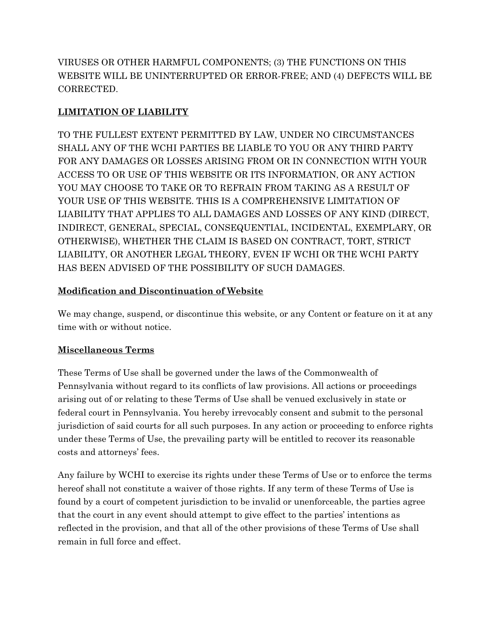VIRUSES OR OTHER HARMFUL COMPONENTS; (3) THE FUNCTIONS ON THIS WEBSITE WILL BE UNINTERRUPTED OR ERROR-FREE; AND (4) DEFECTS WILL BE CORRECTED.

# **LIMITATION OF LIABILITY**

TO THE FULLEST EXTENT PERMITTED BY LAW, UNDER NO CIRCUMSTANCES SHALL ANY OF THE WCHI PARTIES BE LIABLE TO YOU OR ANY THIRD PARTY FOR ANY DAMAGES OR LOSSES ARISING FROM OR IN CONNECTION WITH YOUR ACCESS TO OR USE OF THIS WEBSITE OR ITS INFORMATION, OR ANY ACTION YOU MAY CHOOSE TO TAKE OR TO REFRAIN FROM TAKING AS A RESULT OF YOUR USE OF THIS WEBSITE. THIS IS A COMPREHENSIVE LIMITATION OF LIABILITY THAT APPLIES TO ALL DAMAGES AND LOSSES OF ANY KIND (DIRECT, INDIRECT, GENERAL, SPECIAL, CONSEQUENTIAL, INCIDENTAL, EXEMPLARY, OR OTHERWISE), WHETHER THE CLAIM IS BASED ON CONTRACT, TORT, STRICT LIABILITY, OR ANOTHER LEGAL THEORY, EVEN IF WCHI OR THE WCHI PARTY HAS BEEN ADVISED OF THE POSSIBILITY OF SUCH DAMAGES.

# **Modification and Discontinuation of Website**

We may change, suspend, or discontinue this website, or any Content or feature on it at any time with or without notice.

## **Miscellaneous Terms**

These Terms of Use shall be governed under the laws of the Commonwealth of Pennsylvania without regard to its conflicts of law provisions. All actions or proceedings arising out of or relating to these Terms of Use shall be venued exclusively in state or federal court in Pennsylvania. You hereby irrevocably consent and submit to the personal jurisdiction of said courts for all such purposes. In any action or proceeding to enforce rights under these Terms of Use, the prevailing party will be entitled to recover its reasonable costs and attorneys' fees.

Any failure by WCHI to exercise its rights under these Terms of Use or to enforce the terms hereof shall not constitute a waiver of those rights. If any term of these Terms of Use is found by a court of competent jurisdiction to be invalid or unenforceable, the parties agree that the court in any event should attempt to give effect to the parties' intentions as reflected in the provision, and that all of the other provisions of these Terms of Use shall remain in full force and effect.